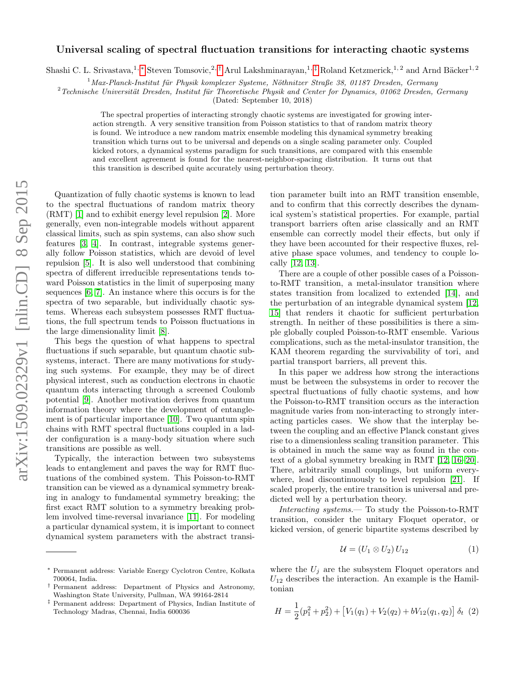## arXiv:1509.02329v1 [nlin.CD] 8 Sep 2015 arXiv:1509.02329v1 [nlin.CD] 8 Sep 2015

## Universal scaling of spectral fluctuation transitions for interacting chaotic systems

Shashi C. L. Srivastava,<sup>1, \*</sup> Steven Tomsovic,<sup>2,[†](#page-0-1)</sup> Arul Lakshminarayan,<sup>1,[‡](#page-0-2)</sup> Roland Ketzmerick,<sup>1,2</sup> and Arnd Bäcker<sup>1,2</sup>

 $1$ Max-Planck-Institut für Physik komplexer Systeme, Nöthnitzer Straße 38, 01187 Dresden, Germany

 $2$ Technische Universität Dresden, Institut für Theoretische Physik and Center for Dynamics, 01062 Dresden, Germany

(Dated: September 10, 2018)

The spectral properties of interacting strongly chaotic systems are investigated for growing interaction strength. A very sensitive transition from Poisson statistics to that of random matrix theory is found. We introduce a new random matrix ensemble modeling this dynamical symmetry breaking transition which turns out to be universal and depends on a single scaling parameter only. Coupled kicked rotors, a dynamical systems paradigm for such transitions, are compared with this ensemble and excellent agreement is found for the nearest-neighbor-spacing distribution. It turns out that this transition is described quite accurately using perturbation theory.

Quantization of fully chaotic systems is known to lead to the spectral fluctuations of random matrix theory (RMT) [\[1\]](#page-4-0) and to exhibit energy level repulsion [\[2\]](#page-4-1). More generally, even non-integrable models without apparent classical limits, such as spin systems, can also show such features [\[3,](#page-4-2) [4\]](#page-4-3). In contrast, integrable systems generally follow Poisson statistics, which are devoid of level repulsion [\[5\]](#page-4-4). It is also well understood that combining spectra of different irreducible representations tends toward Poisson statistics in the limit of superposing many sequences [\[6,](#page-4-5) [7\]](#page-4-6). An instance where this occurs is for the spectra of two separable, but individually chaotic systems. Whereas each subsystem possesses RMT fluctuations, the full spectrum tends to Poisson fluctuations in the large dimensionality limit [\[8\]](#page-4-7).

This begs the question of what happens to spectral fluctuations if such separable, but quantum chaotic subsystems, interact. There are many motivations for studying such systems. For example, they may be of direct physical interest, such as conduction electrons in chaotic quantum dots interacting through a screened Coulomb potential [\[9\]](#page-4-8). Another motivation derives from quantum information theory where the development of entanglement is of particular importance [\[10\]](#page-4-9). Two quantum spin chains with RMT spectral fluctuations coupled in a ladder configuration is a many-body situation where such transitions are possible as well.

Typically, the interaction between two subsystems leads to entanglement and paves the way for RMT fluctuations of the combined system. This Poisson-to-RMT transition can be viewed as a dynamical symmetry breaking in analogy to fundamental symmetry breaking; the first exact RMT solution to a symmetry breaking problem involved time-reversal invariance [\[11\]](#page-4-10). For modeling a particular dynamical system, it is important to connect dynamical system parameters with the abstract transi-

tion parameter built into an RMT transition ensemble, and to confirm that this correctly describes the dynamical system's statistical properties. For example, partial transport barriers often arise classically and an RMT ensemble can correctly model their effects, but only if they have been accounted for their respective fluxes, relative phase space volumes, and tendency to couple locally [\[12,](#page-4-11) [13\]](#page-4-12).

There are a couple of other possible cases of a Poissonto-RMT transition, a metal-insulator transition where states transition from localized to extended [\[14\]](#page-4-13), and the perturbation of an integrable dynamical system [\[12,](#page-4-11) [15\]](#page-4-14) that renders it chaotic for sufficient perturbation strength. In neither of these possibilities is there a simple globally coupled Poisson-to-RMT ensemble. Various complications, such as the metal-insulator transition, the KAM theorem regarding the survivability of tori, and partial transport barriers, all prevent this.

In this paper we address how strong the interactions must be between the subsystems in order to recover the spectral fluctuations of fully chaotic systems, and how the Poisson-to-RMT transition occurs as the interaction magnitude varies from non-interacting to strongly interacting particles cases. We show that the interplay between the coupling and an effective Planck constant gives rise to a dimensionless scaling transition parameter. This is obtained in much the same way as found in the context of a global symmetry breaking in RMT [\[12,](#page-4-11) [16–](#page-4-15)[20\]](#page-4-16). There, arbitrarily small couplings, but uniform everywhere, lead discontinuously to level repulsion [\[21\]](#page-4-17). If scaled properly, the entire transition is universal and predicted well by a perturbation theory.

Interacting systems.— To study the Poisson-to-RMT transition, consider the unitary Floquet operator, or kicked version, of generic bipartite systems described by

<span id="page-0-3"></span>
$$
\mathcal{U} = (U_1 \otimes U_2) U_{12} \tag{1}
$$

where the  $U_j$  are the subsystem Floquet operators and  $U_{12}$  describes the interaction. An example is the Hamiltonian

<span id="page-0-4"></span>
$$
H = \frac{1}{2}(p_1^2 + p_2^2) + [V_1(q_1) + V_2(q_2) + bV_{12}(q_1, q_2)] \delta_t
$$
 (2)

<span id="page-0-0"></span><sup>∗</sup> Permanent address: Variable Energy Cyclotron Centre, Kolkata 700064, India.

<span id="page-0-1"></span><sup>†</sup> Permanent address: Department of Physics and Astronomy, Washington State University, Pullman, WA 99164-2814

<span id="page-0-2"></span><sup>‡</sup> Permanent address: Department of Physics, Indian Institute of Technology Madras, Chennai, India 600036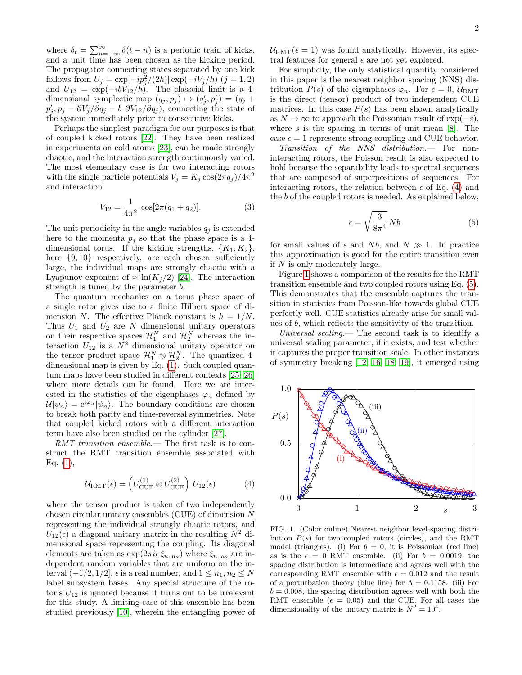where  $\delta_t = \sum_{n=-\infty}^{\infty} \delta(t-n)$  is a periodic train of kicks, and a unit time has been chosen as the kicking period. The propagator connecting states separated by one kick follows from  $U_j = \exp[-ip_j^2/(2\hbar)] \exp(-iV_j/\hbar)$  (j = 1, 2) and  $U_{12} = \exp(-ibV_{12}/\hbar)$ . The classcial limit is a 4dimensional symplectic map  $(q_j, p_j) \mapsto (q'_j, p'_j) = (q_j +$  $p'_j, p_j - \partial V_j / \partial q_j - b \partial V_{12} / \partial q_j$ , connecting the state of the system immediately prior to consecutive kicks.

Perhaps the simplest paradigm for our purposes is that of coupled kicked rotors [\[22\]](#page-4-18). They have been realized in experiments on cold atoms [\[23\]](#page-4-19), can be made strongly chaotic, and the interaction strength continuously varied. The most elementary case is for two interacting rotors with the single particle potentials  $V_j = K_j \cos(2\pi q_j)/4\pi^2$ and interaction

<span id="page-1-3"></span>
$$
V_{12} = \frac{1}{4\pi^2} \cos[2\pi(q_1 + q_2)].
$$
 (3)

The unit periodicity in the angle variables  $q_j$  is extended here to the momenta  $p_j$  so that the phase space is a 4dimensional torus. If the kicking strengths,  $\{K_1, K_2\}$ , here  $\{9, 10\}$  respectively, are each chosen sufficiently large, the individual maps are strongly chaotic with a Lyapunov exponent of  $\approx \ln(K_i/2)$  [\[24\]](#page-4-20). The interaction strength is tuned by the parameter b.

The quantum mechanics on a torus phase space of a single rotor gives rise to a finite Hilbert space of dimension N. The effective Planck constant is  $h = 1/N$ . Thus  $U_1$  and  $U_2$  are N dimensional unitary operators on their respective spaces  $\mathcal{H}_1^N$  and  $\mathcal{H}_2^N$  whereas the interaction  $U_{12}$  is a  $N^2$  dimensional unitary operator on the tensor product space  $\mathcal{H}_1^N \otimes \mathcal{H}_2^N$ . The quantized 4dimensional map is given by Eq. [\(1\)](#page-0-3). Such coupled quantum maps have been studied in different contexts [\[25,](#page-4-21) [26\]](#page-4-22) where more details can be found. Here we are interested in the statistics of the eigenphases  $\varphi_n$  defined by  $\mathcal{U}|\psi_n\rangle = e^{i\varphi_n}|\psi_n\rangle$ . The boundary conditions are chosen to break both parity and time-reversal symmetries. Note that coupled kicked rotors with a different interaction term have also been studied on the cylinder [\[27\]](#page-4-23).

RMT transition ensemble.— The first task is to construct the RMT transition ensemble associated with Eq.  $(1)$ ,

<span id="page-1-0"></span>
$$
\mathcal{U}_{\text{RMT}}(\epsilon) = \left( U_{\text{CUE}}^{(1)} \otimes U_{\text{CUE}}^{(2)} \right) U_{12}(\epsilon) \tag{4}
$$

where the tensor product is taken of two independently chosen circular unitary ensembles (CUE) of dimension N representing the individual strongly chaotic rotors, and  $U_{12}(\epsilon)$  a diagonal unitary matrix in the resulting  $N^2$  dimensional space representing the coupling. Its diagonal elements are taken as  $\exp(2\pi i \epsilon \xi_{n_1 n_2})$  where  $\xi_{n_1 n_2}$  are independent random variables that are uniform on the interval  $(-1/2, 1/2]$ ,  $\epsilon$  is a real number, and  $1 \leq n_1, n_2 \leq N$ label subsystem bases. Any special structure of the rotor's  $U_{12}$  is ignored because it turns out to be irrelevant for this study. A limiting case of this ensemble has been studied previously [\[10\]](#page-4-9), wherein the entangling power of  $U_{\rm RMT}(\epsilon=1)$  was found analytically. However, its spectral features for general  $\epsilon$  are not yet explored.

For simplicity, the only statistical quantity considered in this paper is the nearest neighbor spacing (NNS) distribution  $P(s)$  of the eigenphases  $\varphi_n$ . For  $\epsilon = 0$ ,  $\mathcal{U}_{RMT}$ is the direct (tensor) product of two independent CUE matrices. In this case  $P(s)$  has been shown analytically as  $N \to \infty$  to approach the Poissonian result of exp( $-s$ ), where s is the spacing in terms of unit mean  $[8]$ . The case  $\epsilon = 1$  represents strong coupling and CUE behavior.

Transition of the NNS distribution.— For noninteracting rotors, the Poisson result is also expected to hold because the separability leads to spectral sequences that are composed of superpositions of sequences. For interacting rotors, the relation between  $\epsilon$  of Eq. [\(4\)](#page-1-0) and the b of the coupled rotors is needed. As explained below,

<span id="page-1-2"></span>
$$
\epsilon = \sqrt{\frac{3}{8\pi^4}}\,Nb\tag{5}
$$

for small values of  $\epsilon$  and Nb, and  $N \gg 1$ . In practice this approximation is good for the entire transition even if  $N$  is only moderately large.

Figure [1](#page-1-1) shows a comparison of the results for the RMT transition ensemble and two coupled rotors using Eq. [\(5\)](#page-1-2). This demonstrates that the ensemble captures the transition in statistics from Poisson-like towards global CUE perfectly well. CUE statistics already arise for small values of b, which reflects the sensitivity of the transition.

Universal scaling.— The second task is to identify a universal scaling parameter, if it exists, and test whether it captures the proper transition scale. In other instances of symmetry breaking [\[12,](#page-4-11) [16,](#page-4-15) [18,](#page-4-24) [19\]](#page-4-25), it emerged using



<span id="page-1-1"></span>FIG. 1. (Color online) Nearest neighbor level-spacing distribution  $P(s)$  for two coupled rotors (circles), and the RMT model (triangles). (i) For  $b = 0$ , it is Poissonian (red line) as is the  $\epsilon = 0$  RMT ensemble. (ii) For  $b = 0.0019$ , the spacing distribution is intermediate and agrees well with the corresponding RMT ensemble with  $\epsilon = 0.012$  and the result of a perturbation theory (blue line) for  $\Lambda = 0.1158$ . (iii) For  $b = 0.008$ , the spacing distribution agrees well with both the RMT ensemble ( $\epsilon = 0.05$ ) and the CUE. For all cases the dimensionality of the unitary matrix is  $N^2 = 10^4$ .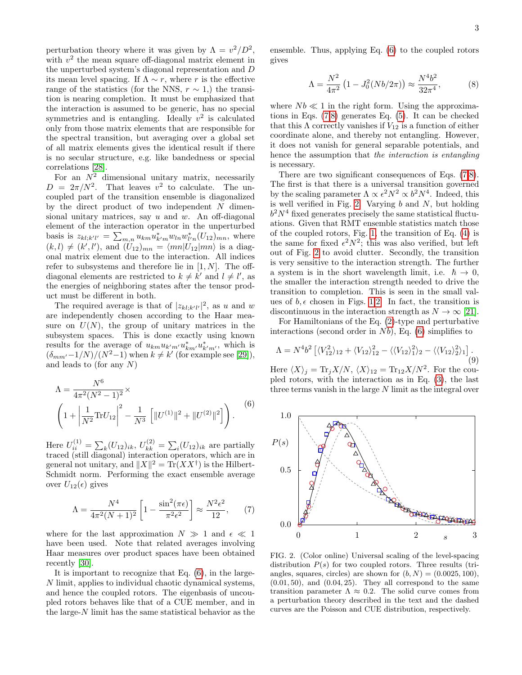perturbation theory where it was given by  $\Lambda = v^2/D^2$ , with  $v^2$  the mean square off-diagonal matrix element in the unperturbed system's diagonal representation and D its mean level spacing. If  $\Lambda \sim r$ , where r is the effective range of the statistics (for the NNS,  $r \sim 1$ ,) the transition is nearing completion. It must be emphasized that the interaction is assumed to be generic, has no special symmetries and is entangling. Ideally  $v^2$  is calculated only from those matrix elements that are responsible for the spectral transition, but averaging over a global set of all matrix elements gives the identical result if there is no secular structure, e.g. like bandedness or special correlations [\[28\]](#page-4-26).

For an  $N^2$  dimensional unitary matrix, necessarily  $D = 2\pi/N^2$ . That leaves  $v^2$  to calculate. The uncoupled part of the transition ensemble is diagonalized by the direct product of two independent  $N$  dimensional unitary matrices, say  $u$  and  $w$ . An off-diagonal element of the interaction operator in the unperturbed basis is  $z_{kl;k'l'} = \sum_{m,n} u_{km} u_{k'm}^* w_{ln} w_{l'n}^* (U_{12})_{mn}$ , where  $(k, l) \neq (k', l'),$  and  $(\dot{U}_{12})_{mn} = \langle mn|U_{12}|mn\rangle$  is a diagonal matrix element due to the interaction. All indices refer to subsystems and therefore lie in  $[1, N]$ . The offdiagonal elements are restricted to  $k \neq k'$  and  $l \neq l'$ , as the energies of neighboring states after the tensor product must be different in both.

The required average is that of  $|z_{kl;k'l'}|^2$ , as u and w are independently chosen according to the Haar measure on  $U(N)$ , the group of unitary matrices in the subsystem spaces. This is done exactly using known results for the average of  $u_{km}u_{k'm'}u_{km'}^*u_{k'm'}^*$ , which is  $(\delta_{mm'}-1/N)/(N^2-1)$  when  $k \neq k'$  (for example see [\[29\]](#page-4-27)), and leads to (for any  $N$ )

<span id="page-2-0"></span>
$$
\Lambda = \frac{N^6}{4\pi^2 (N^2 - 1)^2} \times \left(1 + \left|\frac{1}{N^2} \text{Tr} U_{12}\right|^2 - \frac{1}{N^3} \left[\|U^{(1)}\|^2 + \|U^{(2)}\|^2\right]\right). \tag{6}
$$

Here  $U_{ii}^{(1)} = \sum_{k} (U_{12})_{ik}, U_{kk}^{(2)} = \sum_{i} (U_{12})_{ik}$  are partially traced (still diagonal) interaction operators, which are in general not unitary, and  $||X||^2 = \text{Tr}(XX^{\dagger})$  is the Hilbert-Schmidt norm. Performing the exact ensemble average over  $U_{12}(\epsilon)$  gives

<span id="page-2-1"></span>
$$
\Lambda = \frac{N^4}{4\pi^2 (N+1)^2} \left[ 1 - \frac{\sin^2(\pi \epsilon)}{\pi^2 \epsilon^2} \right] \approx \frac{N^2 \epsilon^2}{12},\qquad(7)
$$

where for the last approximation  $N \gg 1$  and  $\epsilon \ll 1$ have been used. Note that related averages involving Haar measures over product spaces have been obtained recently [\[30\]](#page-4-28).

It is important to recognize that Eq. [\(6\)](#page-2-0), in the large-N limit, applies to individual chaotic dynamical systems, and hence the coupled rotors. The eigenbasis of uncoupled rotors behaves like that of a CUE member, and in the large- $N$  limit has the same statistical behavior as the

ensemble. Thus, applying Eq. [\(6\)](#page-2-0) to the coupled rotors gives

<span id="page-2-2"></span>
$$
\Lambda = \frac{N^2}{4\pi^2} \left( 1 - J_0^2 (Nb/2\pi) \right) \approx \frac{N^4 b^2}{32\pi^4},\tag{8}
$$

where  $Nb \ll 1$  in the right form. Using the approximations in Eqs. [\(7](#page-2-1)[,8\)](#page-2-2) generates Eq. [\(5\)](#page-1-2). It can be checked that this  $\Lambda$  correctly vanishes if  $V_{12}$  is a function of either coordinate alone, and thereby not entangling. However, it does not vanish for general separable potentials, and hence the assumption that the interaction is entangling is necessary.

There are two significant consequences of Eqs. [\(7,](#page-2-1)[8\)](#page-2-2). The first is that there is a universal transition governed by the scaling parameter  $\Lambda \propto \epsilon^2 N^2 \propto b^2 N^4$ . Indeed, this is well verified in Fig. [2.](#page-2-3) Varying  $b$  and  $N$ , but holding  $b<sup>2</sup>N<sup>4</sup>$  fixed generates precisely the same statistical fluctuations. Given that RMT ensemble statistics match those of the coupled rotors, Fig. [1,](#page-1-1) the transition of Eq. [\(4\)](#page-1-0) is the same for fixed  $\epsilon^2 N^2$ ; this was also verified, but left out of Fig. [2](#page-2-3) to avoid clutter. Secondly, the transition is very sensitive to the interaction strength. The further a system is in the short wavelength limit, i.e.  $\hbar \rightarrow 0$ , the smaller the interaction strength needed to drive the transition to completion. This is seen in the small values of  $b, \epsilon$  chosen in Figs. [1](#page-1-1)[,2.](#page-2-3) In fact, the transition is discontinuous in the interaction strength as  $N \to \infty$  [\[21\]](#page-4-17).

For Hamiltonians of the Eq. [\(2\)](#page-0-4)-type and perturbative interactions (second order in  $Nb$ ), Eq. [\(6\)](#page-2-0) simplifies to

$$
\Lambda = N^4 b^2 \left[ \langle V_{12}^2 \rangle_{12} + \langle V_{12} \rangle_{12}^2 - \langle \langle V_{12} \rangle_{12}^2 \rangle_2 - \langle \langle V_{12} \rangle_{22}^2 \rangle_1 \right].
$$
\n(9)

Here  $\langle X \rangle_j = \text{Tr}_j X/N$ ,  $\langle X \rangle_{12} = \text{Tr}_{12} X/N^2$ . For the coupled rotors, with the interaction as in Eq. [\(3\)](#page-1-3), the last three terms vanish in the large N limit as the integral over



<span id="page-2-3"></span>FIG. 2. (Color online) Universal scaling of the level-spacing distribution  $P(s)$  for two coupled rotors. Three results (triangles, squares, circles) are shown for  $(b, N) = (0.0025, 100)$ ,  $(0.01, 50)$ , and  $(0.04, 25)$ . They all correspond to the same transition parameter  $\Lambda \approx 0.2$ . The solid curve comes from a perturbation theory described in the text and the dashed curves are the Poisson and CUE distribution, respectively.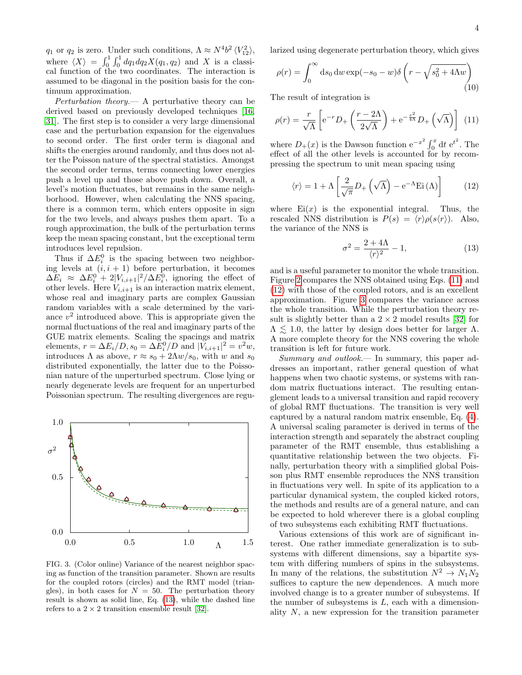$q_1$  or  $q_2$  is zero. Under such conditions,  $\Lambda \approx N^4 b^2 \langle V_{12}^2 \rangle$ , where  $\langle X \rangle = \int_0^1 \int_0^1 dq_1 dq_2 X(q_1, q_2)$  and X is a classical function of the two coordinates. The interaction is assumed to be diagonal in the position basis for the continuum approximation.

Perturbation theory.— A perturbative theory can be derived based on previously developed techniques [\[16,](#page-4-15) [31\]](#page-4-29). The first step is to consider a very large dimensional case and the perturbation expansion for the eigenvalues to second order. The first order term is diagonal and shifts the energies around randomly, and thus does not alter the Poisson nature of the spectral statistics. Amongst the second order terms, terms connecting lower energies push a level up and those above push down. Overall, a level's motion fluctuates, but remains in the same neighborhood. However, when calculating the NNS spacing, there is a common term, which enters opposite in sign for the two levels, and always pushes them apart. To a rough approximation, the bulk of the perturbation terms keep the mean spacing constant, but the exceptional term introduces level repulsion.

Thus if  $\Delta E_i^0$  is the spacing between two neighboring levels at  $(i, i + 1)$  before perturbation, it becomes  $\Delta E_i \approx \Delta E_i^0 + 2|V_{i,i+1}|^2/\Delta E_i^0$ , ignoring the effect of other levels. Here  $V_{i,i+1}$  is an interaction matrix element, whose real and imaginary parts are complex Gaussian random variables with a scale determined by the variance  $v^2$  introduced above. This is appropriate given the normal fluctuations of the real and imaginary parts of the GUE matrix elements. Scaling the spacings and matrix elements,  $r = \Delta E_i/D$ ,  $s_0 = \Delta E_i^0/D$  and  $|V_{i,i+1}|^2 = v^2 w$ , introduces  $\Lambda$  as above,  $r \approx s_0 + 2\Lambda w/s_0$ , with w and  $s_0$ distributed exponentially, the latter due to the Poissonian nature of the unperturbed spectrum. Close lying or nearly degenerate levels are frequent for an unperturbed Poissonian spectrum. The resulting divergences are regu-



<span id="page-3-3"></span>FIG. 3. (Color online) Variance of the nearest neighbor spacing as function of the transition parameter. Shown are results for the coupled rotors (circles) and the RMT model (triangles), in both cases for  $N = 50$ . The perturbation theory result is shown as solid line, Eq. [\(13\)](#page-3-0), while the dashed line refers to a  $2 \times 2$  transition ensemble result [\[32\]](#page-4-30).

larized using degenerate perturbation theory, which gives

$$
\rho(r) = \int_0^\infty ds_0 \, dw \exp(-s_0 - w) \delta\left(r - \sqrt{s_0^2 + 4\Lambda w}\right)
$$
\n(10)

The result of integration is

<span id="page-3-1"></span>
$$
\rho(r) = \frac{r}{\sqrt{\Lambda}} \left[ e^{-r} D_+ \left( \frac{r - 2\Lambda}{2\sqrt{\Lambda}} \right) + e^{-\frac{r^2}{4\Lambda}} D_+ \left( \sqrt{\Lambda} \right) \right] (11)
$$

where  $D_{+}(x)$  is the Dawson function  $e^{-x^2} \int_0^x dt e^{t^2}$ . The effect of all the other levels is accounted for by recompressing the spectrum to unit mean spacing using

<span id="page-3-2"></span>
$$
\langle r \rangle = 1 + \Lambda \left[ \frac{2}{\sqrt{\pi}} D_+ \left( \sqrt{\Lambda} \right) - e^{-\Lambda} \text{Ei} \left( \Lambda \right) \right] \tag{12}
$$

where  $Ei(x)$  is the exponential integral. Thus, the rescaled NNS distribution is  $P(s) = \langle r \rangle \rho(s \langle r \rangle)$ . Also, the variance of the NNS is

<span id="page-3-0"></span>
$$
\sigma^2 = \frac{2 + 4\Lambda}{\langle r \rangle^2} - 1,\tag{13}
$$

and is a useful parameter to monitor the whole transition. Figure [2](#page-2-3) compares the NNS obtained using Eqs. [\(11\)](#page-3-1) and [\(12\)](#page-3-2) with those of the coupled rotors, and is an excellent approximation. Figure [3](#page-3-3) compares the variance across the whole transition. While the perturbation theory result is slightly better than a  $2 \times 2$  model results [\[32\]](#page-4-30) for  $\Lambda \leq 1.0$ , the latter by design does better for larger  $\Lambda$ . A more complete theory for the NNS covering the whole transition is left for future work.

Summary and outlook.— In summary, this paper addresses an important, rather general question of what happens when two chaotic systems, or systems with random matrix fluctuations interact. The resulting entanglement leads to a universal transition and rapid recovery of global RMT fluctuations. The transition is very well captured by a natural random matrix ensemble, Eq. [\(4\)](#page-1-0). A universal scaling parameter is derived in terms of the interaction strength and separately the abstract coupling parameter of the RMT ensemble, thus establishing a quantitative relationship between the two objects. Finally, perturbation theory with a simplified global Poisson plus RMT ensemble reproduces the NNS transition in fluctuations very well. In spite of its application to a particular dynamical system, the coupled kicked rotors, the methods and results are of a general nature, and can be expected to hold wherever there is a global coupling of two subsystems each exhibiting RMT fluctuations.

Various extensions of this work are of significant interest. One rather immediate generalization is to subsystems with different dimensions, say a bipartite system with differing numbers of spins in the subsystems. In many of the relations, the substitution  $N^2 \rightarrow N_1 N_2$ suffices to capture the new dependences. A much more involved change is to a greater number of subsystems. If the number of subsystems is  $L$ , each with a dimensionality N, a new expression for the transition parameter